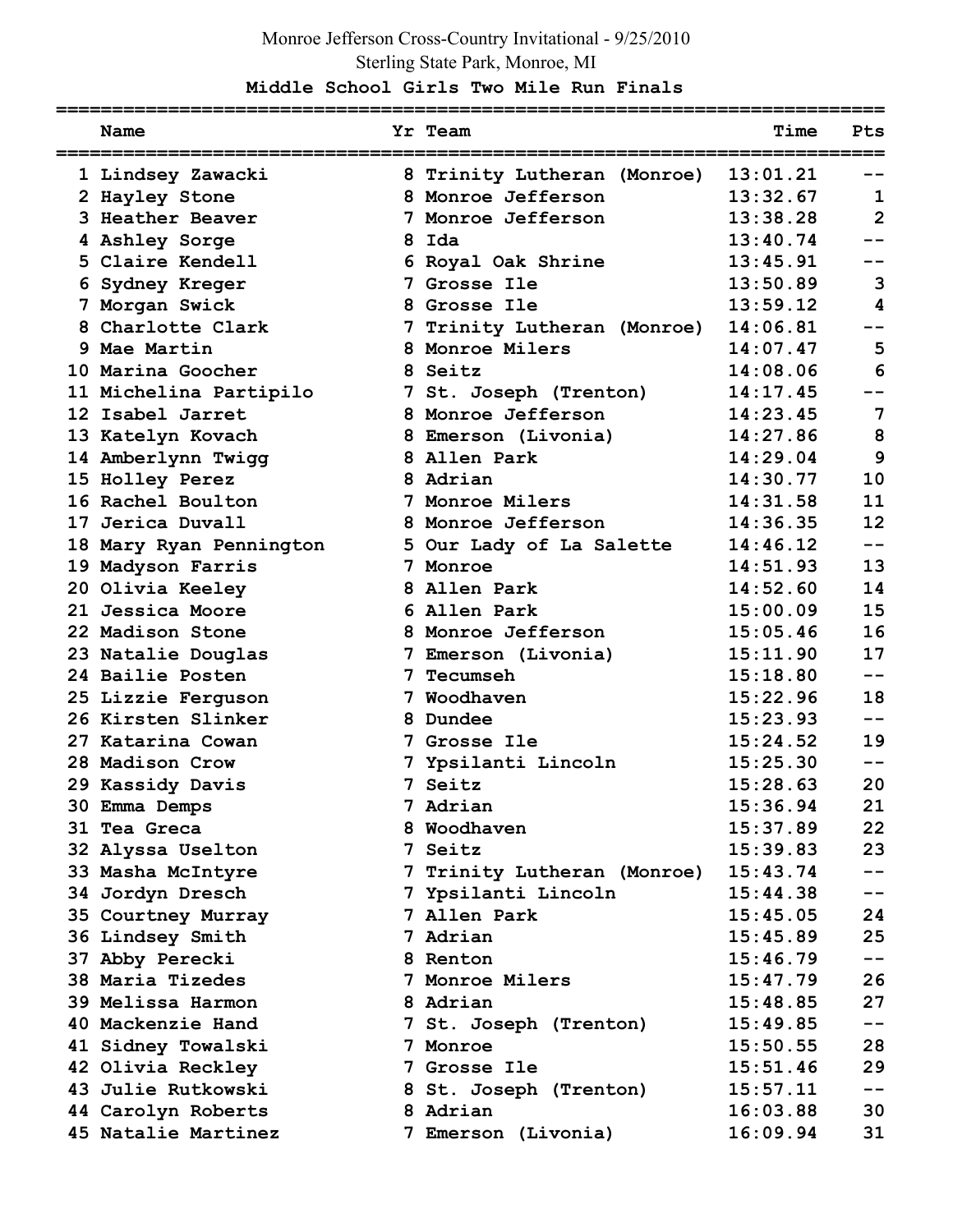# Monroe Jefferson Cross-Country Invitational - 9/25/2010 Sterling State Park, Monroe, MI

### **Middle School Girls Two Mile Run Finals**

| Name                    | Yr Team                     | Time     | Pts            |
|-------------------------|-----------------------------|----------|----------------|
| 1 Lindsey Zawacki       | 8 Trinity Lutheran (Monroe) | 13:01.21 |                |
| 2 Hayley Stone          | 8 Monroe Jefferson          | 13:32.67 | 1              |
| 3 Heather Beaver        | 7 Monroe Jefferson          | 13:38.28 | $\overline{2}$ |
| 4 Ashley Sorge          | 8 Ida                       | 13:40.74 |                |
| 5 Claire Kendell        | 6 Royal Oak Shrine          | 13:45.91 |                |
| 6 Sydney Kreger         | 7 Grosse Ile                | 13:50.89 | 3              |
| 7 Morgan Swick          | 8 Grosse Ile                | 13:59.12 | 4              |
| 8 Charlotte Clark       | 7 Trinity Lutheran (Monroe) | 14:06.81 |                |
| 9 Mae Martin            | 8 Monroe Milers             | 14:07.47 | 5              |
| 10 Marina Goocher       | 8 Seitz                     | 14:08.06 | 6              |
| 11 Michelina Partipilo  | 7 St. Joseph (Trenton)      | 14:17.45 |                |
| 12 Isabel Jarret        | 8 Monroe Jefferson          | 14:23.45 | 7              |
| 13 Katelyn Kovach       | 8 Emerson (Livonia)         | 14:27.86 | 8              |
| 14 Amberlynn Twigg      | 8 Allen Park                | 14:29.04 | 9              |
| 15 Holley Perez         | 8 Adrian                    | 14:30.77 | 10             |
| 16 Rachel Boulton       | 7 Monroe Milers             | 14:31.58 | 11             |
| 17 Jerica Duvall        | 8 Monroe Jefferson          | 14:36.35 | 12             |
| 18 Mary Ryan Pennington | 5 Our Lady of La Salette    | 14:46.12 | --             |
| 19 Madyson Farris       | 7 Monroe                    | 14:51.93 | 13             |
| 20 Olivia Keeley        | 8 Allen Park                | 14:52.60 | 14             |
| 21 Jessica Moore        | 6 Allen Park                | 15:00.09 | 15             |
| 22 Madison Stone        | 8 Monroe Jefferson          | 15:05.46 | 16             |
| 23 Natalie Douglas      | 7 Emerson (Livonia)         | 15:11.90 | 17             |
| 24 Bailie Posten        | <b>7 Tecumseh</b>           | 15:18.80 | --             |
| 25 Lizzie Ferguson      | 7 Woodhaven                 | 15:22.96 | 18             |
| 26 Kirsten Slinker      | 8 Dundee                    | 15:23.93 | --             |
| 27 Katarina Cowan       | 7 Grosse Ile                | 15:24.52 | 19             |
| 28 Madison Crow         | 7 Ypsilanti Lincoln         | 15:25.30 |                |
| 29 Kassidy Davis        | 7 Seitz                     | 15:28.63 | 20             |
| 30 Emma Demps           | Adrian                      | 15:36.94 | 21             |
| 31 Tea Greca            | 8 Woodhaven                 | 15:37.89 | 22             |
| 32 Alyssa Uselton       | 7 Seitz                     | 15:39.83 | 23             |
| 33 Masha McIntyre       | 7 Trinity Lutheran (Monroe) | 15:43.74 |                |
| 34 Jordyn Dresch        | 7 Ypsilanti Lincoln         | 15:44.38 | $- -$          |
| 35 Courtney Murray      | 7 Allen Park                | 15:45.05 | 24             |
| 36 Lindsey Smith        | 7 Adrian                    | 15:45.89 | 25             |
| 37 Abby Perecki         | 8 Renton                    | 15:46.79 |                |
| 38 Maria Tizedes        | 7 Monroe Milers             | 15:47.79 | 26             |
| 39 Melissa Harmon       | 8 Adrian                    | 15:48.85 | 27             |
| 40 Mackenzie Hand       | 7 St. Joseph (Trenton)      | 15:49.85 | $- -$          |
| 41 Sidney Towalski      | 7 Monroe                    | 15:50.55 | 28             |
| 42 Olivia Reckley       | 7 Grosse Ile                | 15:51.46 | 29             |
| 43 Julie Rutkowski      | 8 St. Joseph (Trenton)      | 15:57.11 | $- -$          |
| 44 Carolyn Roberts      | 8 Adrian                    | 16:03.88 | 30             |
| 45 Natalie Martinez     | 7 Emerson (Livonia)         | 16:09.94 | 31             |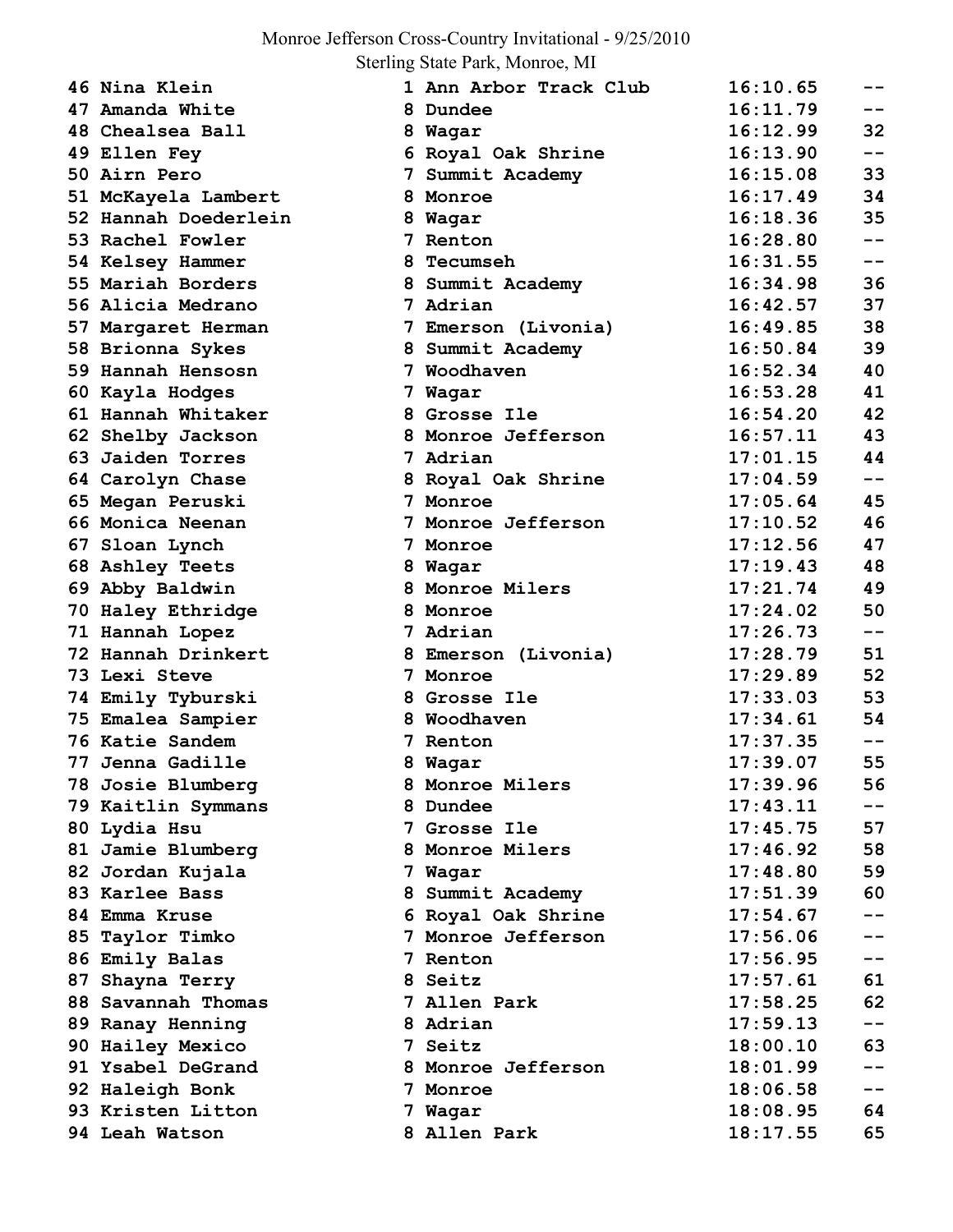# Monroe Jefferson Cross-Country Invitational - 9/25/2010

Sterling State Park, Monroe, MI

| 46 Nina Klein        |   | 1 Ann Arbor Track Club | 16:10.65 | --    |
|----------------------|---|------------------------|----------|-------|
| 47 Amanda White      |   | 8 Dundee               | 16:11.79 | $- -$ |
| 48 Chealsea Ball     |   | 8 Wagar                | 16:12.99 | 32    |
| 49 Ellen Fey         |   | 6 Royal Oak Shrine     | 16:13.90 | $- -$ |
| 50 Airn Pero         |   | 7 Summit Academy       | 16:15.08 | 33    |
| 51 McKayela Lambert  |   | 8 Monroe               | 16:17.49 | 34    |
| 52 Hannah Doederlein |   | 8 Wagar                | 16:18.36 | 35    |
| 53 Rachel Fowler     |   | 7 Renton               | 16:28.80 | $-1$  |
| 54 Kelsey Hammer     |   | 8 Tecumseh             | 16:31.55 | $- -$ |
| 55 Mariah Borders    |   | 8 Summit Academy       | 16:34.98 | 36    |
| 56 Alicia Medrano    |   | 7 Adrian               | 16:42.57 | 37    |
| 57 Margaret Herman   |   | 7 Emerson (Livonia)    | 16:49.85 | 38    |
| 58 Brionna Sykes     |   | 8 Summit Academy       | 16:50.84 | 39    |
| 59 Hannah Hensosn    |   | 7 Woodhaven            | 16:52.34 | 40    |
| 60 Kayla Hodges      |   | 7 Wagar                | 16:53.28 | 41    |
| 61 Hannah Whitaker   |   | 8 Grosse Ile           | 16:54.20 | 42    |
| 62 Shelby Jackson    |   | 8 Monroe Jefferson     | 16:57.11 | 43    |
| 63 Jaiden Torres     |   | 7 Adrian               | 17:01.15 | 44    |
| 64 Carolyn Chase     |   | 8 Royal Oak Shrine     | 17:04.59 | $- -$ |
| 65 Megan Peruski     |   | 7 Monroe               | 17:05.64 | 45    |
| 66 Monica Neenan     |   | 7 Monroe Jefferson     | 17:10.52 | 46    |
| 67 Sloan Lynch       | 7 | Monroe                 | 17:12.56 | 47    |
| 68 Ashley Teets      |   | 8 Wagar                | 17:19.43 | 48    |
| 69 Abby Baldwin      |   | 8 Monroe Milers        | 17:21.74 | 49    |
| 70 Haley Ethridge    |   | 8 Monroe               | 17:24.02 | 50    |
| 71 Hannah Lopez      |   | 7 Adrian               | 17:26.73 | $- -$ |
| 72 Hannah Drinkert   |   | 8 Emerson (Livonia)    | 17:28.79 | 51    |
| 73 Lexi Steve        |   | 7 Monroe               | 17:29.89 | 52    |
| 74 Emily Tyburski    |   | 8 Grosse Ile           | 17:33.03 | 53    |
| 75 Emalea Sampier    |   | 8 Woodhaven            | 17:34.61 | 54    |
| 76 Katie Sandem      |   | 7 Renton               | 17:37.35 | $- -$ |
| 77 Jenna Gadille     |   | 8 Wagar                | 17:39.07 | 55    |
| 78 Josie Blumberg    |   | 8 Monroe Milers        | 17:39.96 | 56    |
| 79 Kaitlin Symmans   |   | 8 Dundee               | 17:43.11 | $- -$ |
| 80 Lydia Hsu         |   | 7 Grosse Ile           | 17:45.75 | 57    |
| 81 Jamie Blumberg    |   | 8 Monroe Milers        | 17:46.92 | 58    |
| 82 Jordan Kujala     |   | 7 Wagar                | 17:48.80 | 59    |
| 83 Karlee Bass       |   | 8 Summit Academy       | 17:51.39 | 60    |
| 84 Emma Kruse        |   | 6 Royal Oak Shrine     | 17:54.67 | --    |
| 85 Taylor Timko      |   | 7 Monroe Jefferson     | 17:56.06 |       |
| 86 Emily Balas       |   | 7 Renton               | 17:56.95 | $- -$ |
| 87 Shayna Terry      |   | 8 Seitz                | 17:57.61 | 61    |
| 88 Savannah Thomas   |   | 7 Allen Park           | 17:58.25 | 62    |
| 89 Ranay Henning     |   | 8 Adrian               | 17:59.13 | --    |
| 90 Hailey Mexico     |   | 7 Seitz                | 18:00.10 | 63    |
| 91 Ysabel DeGrand    |   | 8 Monroe Jefferson     | 18:01.99 | $- -$ |
| 92 Haleigh Bonk      |   | 7 Monroe               | 18:06.58 | $- -$ |
| 93 Kristen Litton    |   | 7 Wagar                | 18:08.95 | 64    |
| 94 Leah Watson       |   | 8 Allen Park           | 18:17.55 | 65    |
|                      |   |                        |          |       |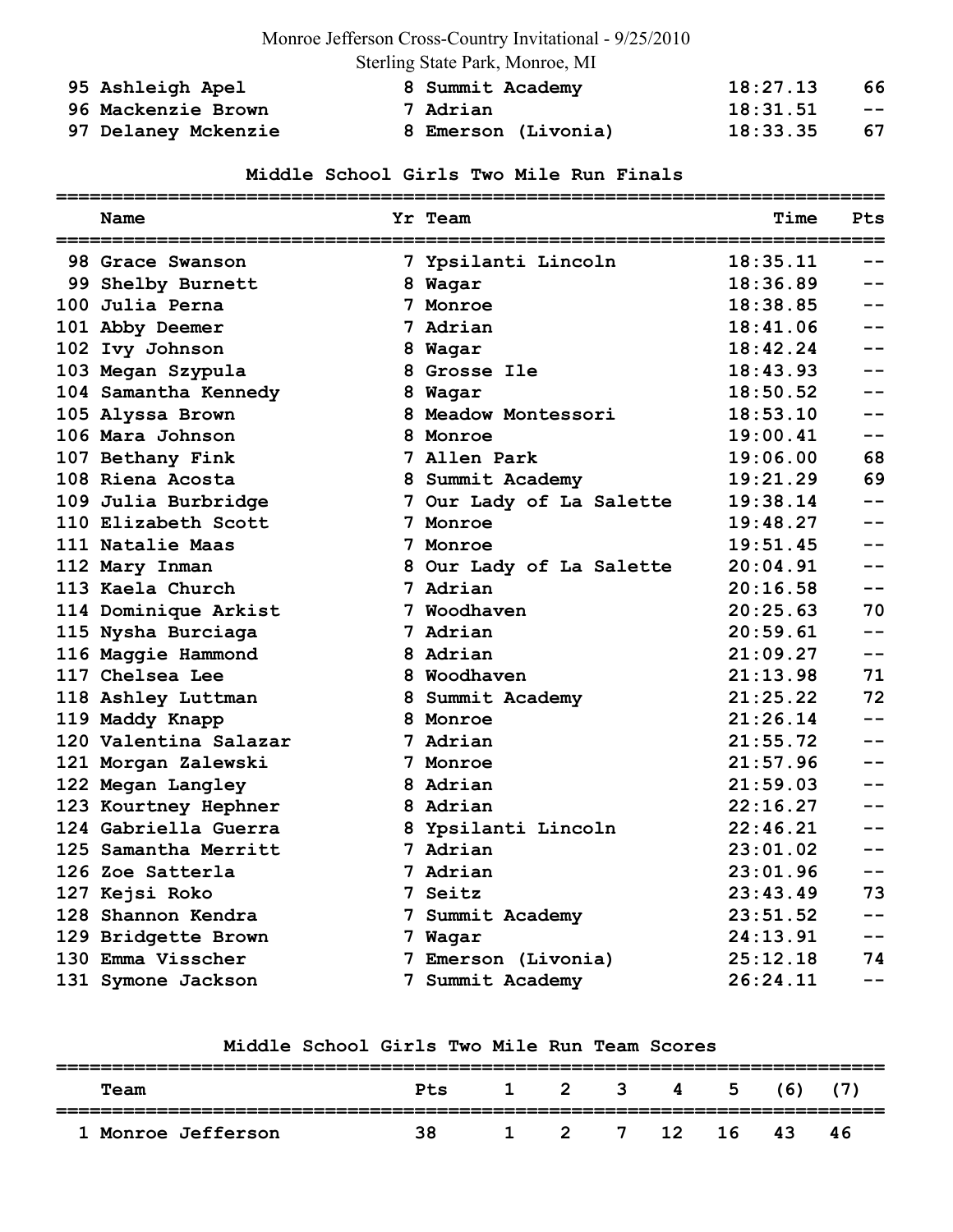# Monroe Jefferson Cross-Country Invitational - 9/25/2010

Sterling State Park, Monroe, MI

| 95 Ashleigh Apel    | 8 Summit Academy    | 18:27.13 | 66    |
|---------------------|---------------------|----------|-------|
| 96 Mackenzie Brown  | 7 Adrian            | 18:31.51 | $- -$ |
| 97 Delaney Mckenzie | 8 Emerson (Livonia) | 18:33.35 | 67    |

#### **Middle School Girls Two Mile Run Finals**

| Name                  | Yr Team                  | Time     | Pts   |
|-----------------------|--------------------------|----------|-------|
| 98 Grace Swanson      | 7 Ypsilanti Lincoln      | 18:35.11 |       |
| 99 Shelby Burnett     | 8 Wagar                  | 18:36.89 |       |
| 100 Julia Perna       | 7 Monroe                 | 18:38.85 |       |
| 101 Abby Deemer       | 7 Adrian                 | 18:41.06 |       |
| 102 Ivy Johnson       | 8 Wagar                  | 18:42.24 |       |
| 103 Megan Szypula     | 8 Grosse Ile             | 18:43.93 |       |
| 104 Samantha Kennedy  | 8 Wagar                  | 18:50.52 |       |
| 105 Alyssa Brown      | 8 Meadow Montessori      | 18:53.10 | $-1$  |
| 106 Mara Johnson      | 8 Monroe                 | 19:00.41 | $-1$  |
| 107 Bethany Fink      | 7 Allen Park             | 19:06.00 | 68    |
| 108 Riena Acosta      | 8 Summit Academy         | 19:21.29 | 69    |
| 109 Julia Burbridge   | 7 Our Lady of La Salette | 19:38.14 |       |
| 110 Elizabeth Scott   | 7 Monroe                 | 19:48.27 |       |
| 111 Natalie Maas      | 7 Monroe                 | 19:51.45 |       |
| 112 Mary Inman        | 8 Our Lady of La Salette | 20:04.91 |       |
| 113 Kaela Church      | 7 Adrian                 | 20:16.58 |       |
| 114 Dominique Arkist  | 7 Woodhaven              | 20:25.63 | 70    |
| 115 Nysha Burciaga    | 7 Adrian                 | 20:59.61 | $- -$ |
| 116 Maggie Hammond    | 8 Adrian                 | 21:09.27 | $- -$ |
| 117 Chelsea Lee       | 8 Woodhaven              | 21:13.98 | 71    |
| 118 Ashley Luttman    | 8 Summit Academy         | 21:25.22 | 72    |
| 119 Maddy Knapp       | 8 Monroe                 | 21:26.14 | $-1$  |
| 120 Valentina Salazar | 7 Adrian                 | 21:55.72 | --    |
| 121 Morgan Zalewski   | 7 Monroe                 | 21:57.96 | $-1$  |
| 122 Megan Langley     | 8 Adrian                 | 21:59.03 |       |
| 123 Kourtney Hephner  | 8 Adrian                 | 22:16.27 |       |
| 124 Gabriella Guerra  | 8 Ypsilanti Lincoln      | 22:46.21 |       |
| 125 Samantha Merritt  | 7 Adrian                 | 23:01.02 |       |
| 126 Zoe Satterla      | 7 Adrian                 | 23:01.96 | $- -$ |
| 127 Kejsi Roko        | 7 Seitz                  | 23:43.49 | 73    |
| 128 Shannon Kendra    | 7 Summit Academy         | 23:51.52 |       |
| 129 Bridgette Brown   | 7 Wagar                  | 24:13.91 |       |
| 130 Emma Visscher     | 7 Emerson (Livonia)      | 25:12.18 | 74    |
| 131 Symone Jackson    | 7 Summit Academy         | 26:24.11 |       |

#### **Middle School Girls Two Mile Run Team Scores**

| Team                    | Pts | $1 \t2 \t3 \t4 \t5 \t(6)$ |                     |    |    |    | C 7 X |
|-------------------------|-----|---------------------------|---------------------|----|----|----|-------|
| <b>Monroe Jefferson</b> | 38. |                           | $1 \quad 2 \quad 7$ | 12 | 16 | 43 | 46    |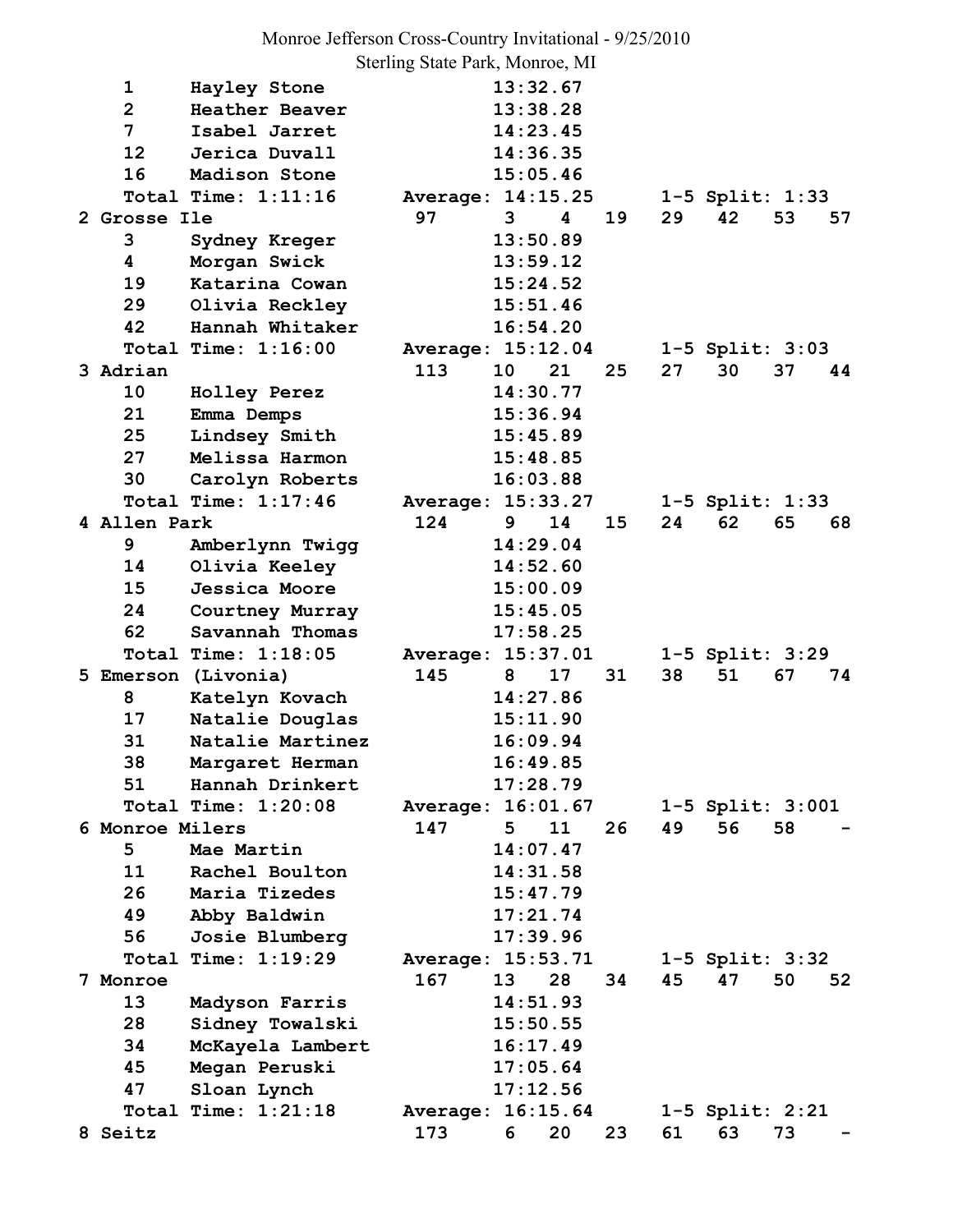Monroe Jefferson Cross-Country Invitational - 9/25/2010 Sterling State Park, Monroe, MI

1 Hayley Stone 13:32.67  **2 Heather Beaver 13:38.28 7 Isabel Jarret 14:23.45 12 Jerica Duvall 14:36.35 16 Madison Stone 15:05.46 Total Time: 1:11:16 Average: 14:15.25 1-5 Split: 1:33 2 Grosse Ile 97 3 4 19 29 42 53 57 3 Sydney Kreger 13:50.89 4 Morgan Swick 13:59.12 19 Katarina Cowan 15:24.52 29 Olivia Reckley 15:51.46 42 Hannah Whitaker 16:54.20 Total Time: 1:16:00 Average: 15:12.04 1-5 Split: 3:03 3 Adrian 113 10 21 25 27 30 37 44 10 Holley Perez 14:30.77 21 Emma Demps 15:36.94 25 Lindsey Smith 15:45.89 27 Melissa Harmon 15:48.85 30 Carolyn Roberts 16:03.88 Total Time: 1:17:46 Average: 15:33.27 1-5 Split: 1:33 4 Allen Park 124 9 14 15 24 62 65 68 9 Amberlynn Twigg 14:29.04 14 Olivia Keeley 14:52.60 15 Jessica Moore 15:00.09 24 Courtney Murray 15:45.05 62 Savannah Thomas 17:58.25 Total Time: 1:18:05 Average: 15:37.01 1-5 Split: 3:29 5 Emerson (Livonia) 145 8 17 31 38 51 67 74 8 Katelyn Kovach 14:27.86 17 Natalie Douglas 15:11.90 31 Natalie Martinez 16:09.94 38 Margaret Herman 16:49.85 51 Hannah Drinkert 17:28.79 Total Time: 1:20:08 Average: 16:01.67 1-5 Split: 3:001 6 Monroe Milers 147 5 11 26 49 56 58 - 5 Mae Martin 14:07.47 11 Rachel Boulton 14:31.58 26 Maria Tizedes 15:47.79 49 Abby Baldwin 17:21.74 56 Josie Blumberg 17:39.96 Total Time: 1:19:29 Average: 15:53.71 1-5 Split: 3:32 7 Monroe 167 13 28 34 45 47 50 52 13 Madyson Farris 14:51.93 28 Sidney Towalski 15:50.55 34 McKayela Lambert 16:17.49 45 Megan Peruski 17:05.64 47 Sloan Lynch 17:12.56 Total Time: 1:21:18 Average: 16:15.64 1-5 Split: 2:21 8 Seitz 173 6 20 23 61 63 73 -**